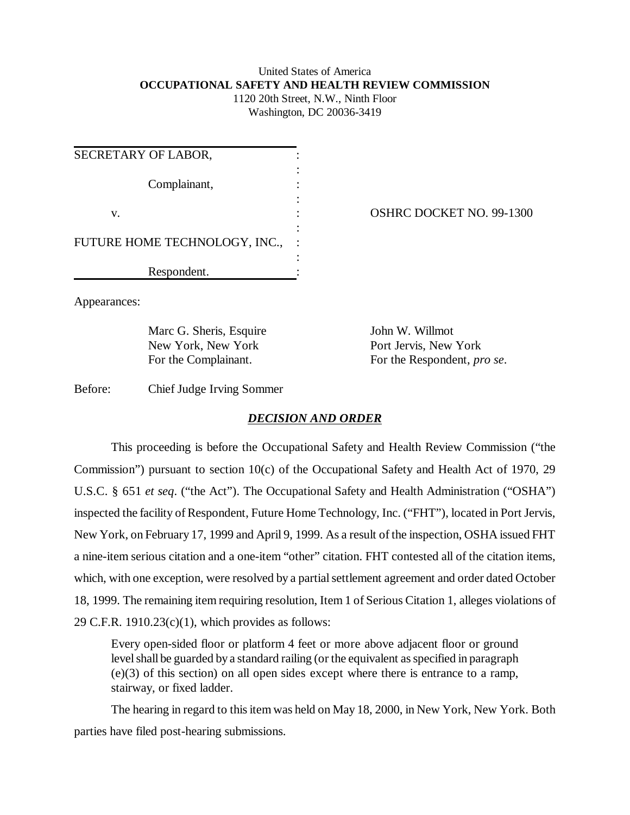# United States of America **OCCUPATIONAL SAFETY AND HEALTH REVIEW COMMISSION**

1120 20th Street, N.W., Ninth Floor Washington, DC 20036-3419

| SECRETARY OF LABOR,           |  |
|-------------------------------|--|
| Complainant,                  |  |
| v.                            |  |
| FUTURE HOME TECHNOLOGY, INC., |  |
| Respondent.                   |  |

OSHRC DOCKET NO. 99-1300

Appearances:

Marc G. Sheris, Esquire John W. Willmot New York, New York Port Jervis, New York

For the Complainant. For the Respondent, *pro se*.

Before: Chief Judge Irving Sommer

## *DECISION AND ORDER*

This proceeding is before the Occupational Safety and Health Review Commission ("the Commission") pursuant to section 10(c) of the Occupational Safety and Health Act of 1970, 29 U.S.C. § 651 *et seq*. ("the Act"). The Occupational Safety and Health Administration ("OSHA") inspected the facility of Respondent, Future Home Technology, Inc. ("FHT"), located in Port Jervis, New York, on February 17, 1999 and April 9, 1999. As a result of the inspection, OSHA issued FHT a nine-item serious citation and a one-item "other" citation. FHT contested all of the citation items, which, with one exception, were resolved by a partial settlement agreement and order dated October 18, 1999. The remaining item requiring resolution, Item 1 of Serious Citation 1, alleges violations of 29 C.F.R.  $1910.23(c)(1)$ , which provides as follows:

Every open-sided floor or platform 4 feet or more above adjacent floor or ground level shall be guarded by a standard railing (or the equivalent as specified in paragraph (e)(3) of this section) on all open sides except where there is entrance to a ramp, stairway, or fixed ladder.

The hearing in regard to this item was held on May 18, 2000, in New York, New York. Both parties have filed post-hearing submissions.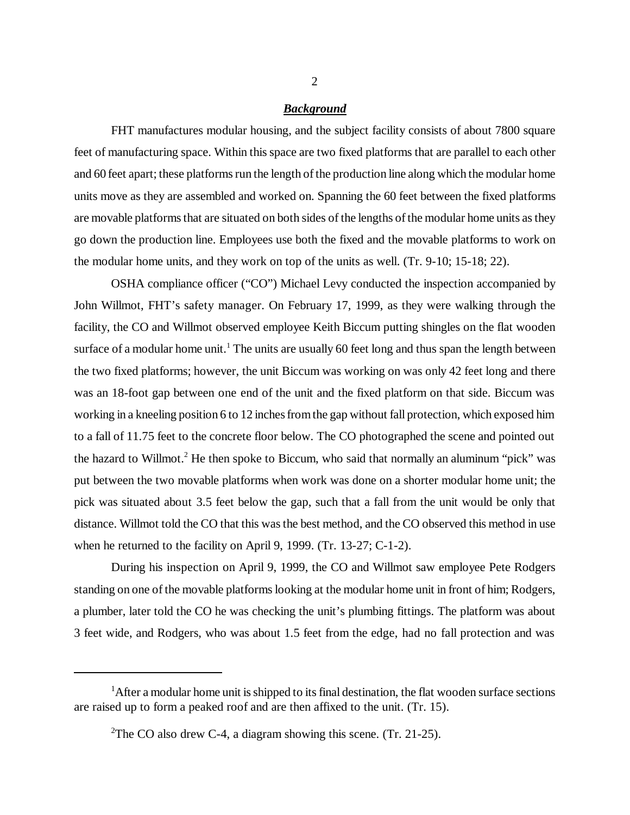#### *Background*

FHT manufactures modular housing, and the subject facility consists of about 7800 square feet of manufacturing space. Within this space are two fixed platforms that are parallel to each other and 60 feet apart; these platforms run the length of the production line along which the modular home units move as they are assembled and worked on. Spanning the 60 feet between the fixed platforms are movable platforms that are situated on both sides of the lengths of the modular home units as they go down the production line. Employees use both the fixed and the movable platforms to work on the modular home units, and they work on top of the units as well. (Tr. 9-10; 15-18; 22).

OSHA compliance officer ("CO") Michael Levy conducted the inspection accompanied by John Willmot, FHT's safety manager. On February 17, 1999, as they were walking through the facility, the CO and Willmot observed employee Keith Biccum putting shingles on the flat wooden surface of a modular home unit.<sup>1</sup> The units are usually 60 feet long and thus span the length between the two fixed platforms; however, the unit Biccum was working on was only 42 feet long and there was an 18-foot gap between one end of the unit and the fixed platform on that side. Biccum was working in a kneeling position 6 to 12 inches from the gap without fall protection, which exposed him to a fall of 11.75 feet to the concrete floor below. The CO photographed the scene and pointed out the hazard to Willmot.<sup>2</sup> He then spoke to Biccum, who said that normally an aluminum "pick" was put between the two movable platforms when work was done on a shorter modular home unit; the pick was situated about 3.5 feet below the gap, such that a fall from the unit would be only that distance. Willmot told the CO that this was the best method, and the CO observed this method in use when he returned to the facility on April 9, 1999. (Tr. 13-27; C-1-2).

During his inspection on April 9, 1999, the CO and Willmot saw employee Pete Rodgers standing on one of the movable platforms looking at the modular home unit in front of him; Rodgers, a plumber, later told the CO he was checking the unit's plumbing fittings. The platform was about 3 feet wide, and Rodgers, who was about 1.5 feet from the edge, had no fall protection and was

<sup>&</sup>lt;sup>1</sup>After a modular home unit is shipped to its final destination, the flat wooden surface sections are raised up to form a peaked roof and are then affixed to the unit. (Tr. 15).

<sup>&</sup>lt;sup>2</sup>The CO also drew C-4, a diagram showing this scene. (Tr. 21-25).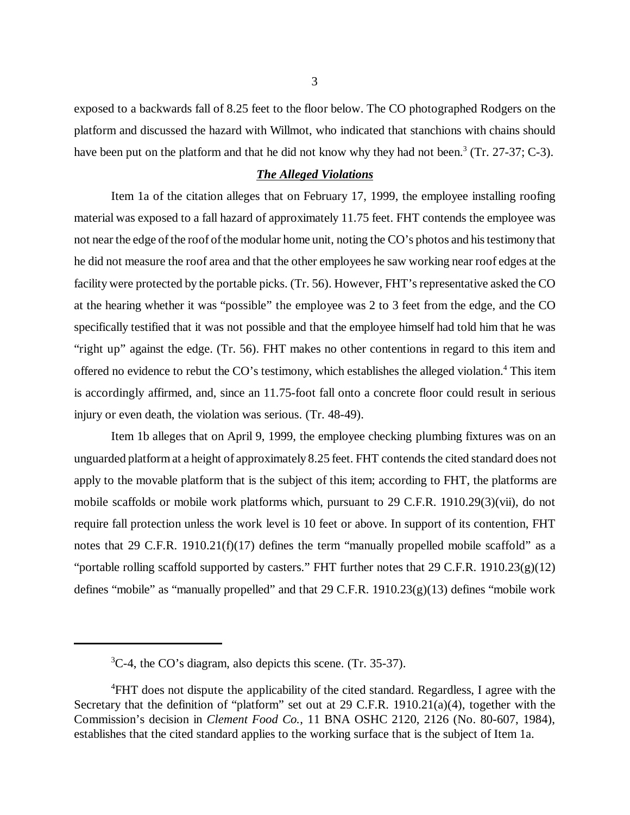exposed to a backwards fall of 8.25 feet to the floor below. The CO photographed Rodgers on the platform and discussed the hazard with Willmot, who indicated that stanchions with chains should have been put on the platform and that he did not know why they had not been.<sup>3</sup> (Tr. 27-37; C-3).

### *The Alleged Violations*

Item 1a of the citation alleges that on February 17, 1999, the employee installing roofing material was exposed to a fall hazard of approximately 11.75 feet. FHT contends the employee was not near the edge of the roof of the modular home unit, noting the CO's photos and his testimony that he did not measure the roof area and that the other employees he saw working near roof edges at the facility were protected by the portable picks. (Tr. 56). However, FHT's representative asked the CO at the hearing whether it was "possible" the employee was 2 to 3 feet from the edge, and the CO specifically testified that it was not possible and that the employee himself had told him that he was "right up" against the edge. (Tr. 56). FHT makes no other contentions in regard to this item and offered no evidence to rebut the CO's testimony, which establishes the alleged violation.<sup>4</sup> This item is accordingly affirmed, and, since an 11.75-foot fall onto a concrete floor could result in serious injury or even death, the violation was serious. (Tr. 48-49).

Item 1b alleges that on April 9, 1999, the employee checking plumbing fixtures was on an unguarded platform at a height of approximately 8.25 feet. FHT contends the cited standard does not apply to the movable platform that is the subject of this item; according to FHT, the platforms are mobile scaffolds or mobile work platforms which, pursuant to 29 C.F.R. 1910.29(3)(vii), do not require fall protection unless the work level is 10 feet or above. In support of its contention, FHT notes that 29 C.F.R. 1910.21(f)(17) defines the term "manually propelled mobile scaffold" as a "portable rolling scaffold supported by casters." FHT further notes that  $29 \text{ C.F.R. } 1910.23(g)(12)$ defines "mobile" as "manually propelled" and that 29 C.F.R. 1910.23(g)(13) defines "mobile work

<sup>&</sup>lt;sup>3</sup>C-4, the CO's diagram, also depicts this scene. (Tr. 35-37).

<sup>&</sup>lt;sup>4</sup>FHT does not dispute the applicability of the cited standard. Regardless, I agree with the Secretary that the definition of "platform" set out at 29 C.F.R. 1910.21(a)(4), together with the Commission's decision in *Clement Food Co.*, 11 BNA OSHC 2120, 2126 (No. 80-607, 1984), establishes that the cited standard applies to the working surface that is the subject of Item 1a.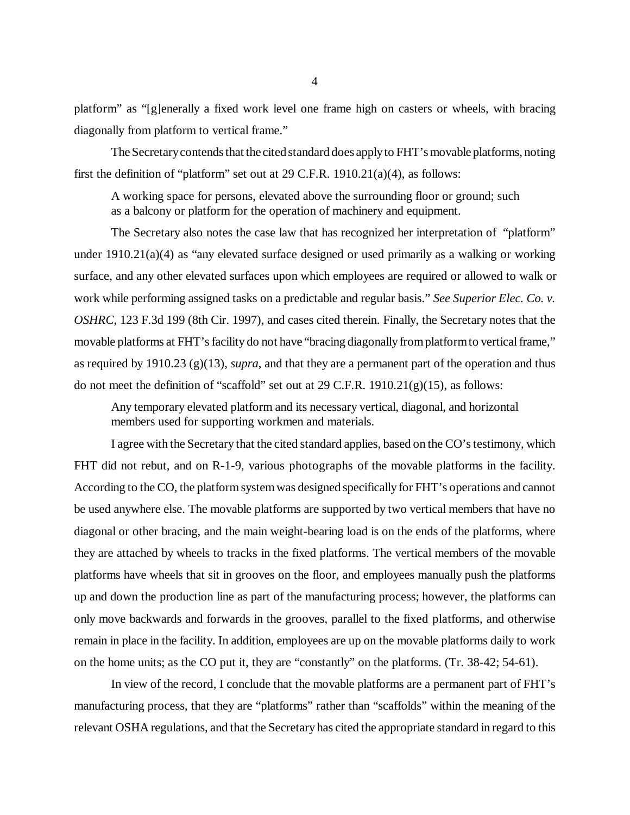platform" as "[g]enerally a fixed work level one frame high on casters or wheels, with bracing diagonally from platform to vertical frame."

The Secretary contends that the cited standard does apply to FHT's movable platforms, noting first the definition of "platform" set out at 29 C.F.R. 1910.21(a)(4), as follows:

A working space for persons, elevated above the surrounding floor or ground; such as a balcony or platform for the operation of machinery and equipment.

The Secretary also notes the case law that has recognized her interpretation of "platform" under  $1910.21(a)(4)$  as "any elevated surface designed or used primarily as a walking or working surface, and any other elevated surfaces upon which employees are required or allowed to walk or work while performing assigned tasks on a predictable and regular basis." *See Superior Elec. Co. v. OSHRC*, 123 F.3d 199 (8th Cir. 1997), and cases cited therein. Finally, the Secretary notes that the movable platforms at FHT's facility do not have "bracing diagonally from platform to vertical frame," as required by 1910.23 (g)(13), *supra*, and that they are a permanent part of the operation and thus do not meet the definition of "scaffold" set out at 29 C.F.R.  $1910.21(g)(15)$ , as follows:

Any temporary elevated platform and its necessary vertical, diagonal, and horizontal members used for supporting workmen and materials.

I agree with the Secretary that the cited standard applies, based on the CO's testimony, which FHT did not rebut, and on R-1-9, various photographs of the movable platforms in the facility. According to the CO, the platform system was designed specifically for FHT's operations and cannot be used anywhere else. The movable platforms are supported by two vertical members that have no diagonal or other bracing, and the main weight-bearing load is on the ends of the platforms, where they are attached by wheels to tracks in the fixed platforms. The vertical members of the movable platforms have wheels that sit in grooves on the floor, and employees manually push the platforms up and down the production line as part of the manufacturing process; however, the platforms can only move backwards and forwards in the grooves, parallel to the fixed platforms, and otherwise remain in place in the facility. In addition, employees are up on the movable platforms daily to work on the home units; as the CO put it, they are "constantly" on the platforms. (Tr. 38-42; 54-61).

In view of the record, I conclude that the movable platforms are a permanent part of FHT's manufacturing process, that they are "platforms" rather than "scaffolds" within the meaning of the relevant OSHA regulations, and that the Secretary has cited the appropriate standard in regard to this